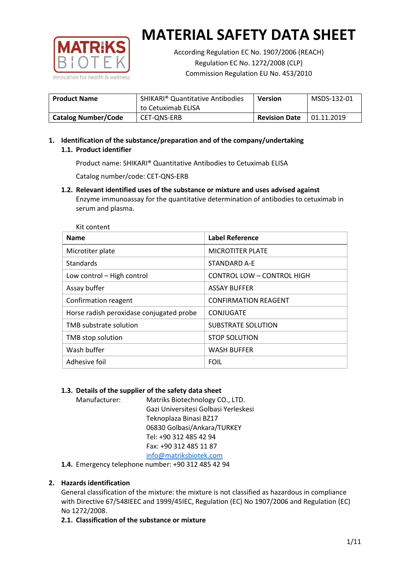

According Regulation EC No. 1907/2006 (REACH) Regulation EC No. 1272/2008 (CLP) Commission Regulation EU No. 453/2010

| <b>Product Name</b>        | <b>SHIKARI</b> <sup>®</sup> Quantitative Antibodies<br>to Cetuximab ELISA | <b>Version</b>       | MSDS-132-01 |
|----------------------------|---------------------------------------------------------------------------|----------------------|-------------|
| <b>Catalog Number/Code</b> | CET-ONS-ERB                                                               | <b>Revision Date</b> | 01.11.2019  |

# **1. Identification of the substance/preparation and of the company/undertaking 1.1. Product identifier**

Product name: SHIKARI® Quantitative Antibodies to Cetuximab ELISA

Catalog number/code: CET-QNS-ERB

**1.2. Relevant identified uses of the substance or mixture and uses advised against** Enzyme immunoassay for the quantitative determination of antibodies to cetuximab in serum and plasma.

| Kit content                              |                             |
|------------------------------------------|-----------------------------|
| <b>Name</b>                              | <b>Label Reference</b>      |
| Microtiter plate                         | <b>MICROTITER PLATE</b>     |
| <b>Standards</b>                         | STANDARD A-E                |
| Low control - High control               | CONTROL LOW - CONTROL HIGH  |
| Assay buffer                             | <b>ASSAY BUFFER</b>         |
| Confirmation reagent                     | <b>CONFIRMATION REAGENT</b> |
| Horse radish peroxidase conjugated probe | CONJUGATE                   |
| TMB substrate solution                   | SUBSTRATE SOLUTION          |
| TMB stop solution                        | <b>STOP SOLUTION</b>        |
| Wash buffer                              | <b>WASH BUFFER</b>          |
| Adhesive foil                            | <b>FOIL</b>                 |

## **1.3. Details of the supplier of the safety data sheet**

Manufacturer: Matriks Biotechnology CO., LTD. Gazi Universitesi Golbasi Yerleskesi Teknoplaza Binasi BZ17 06830 Golbasi/Ankara/TURKEY Tel: +90 312 485 42 94 Fax: +90 312 485 11 87 [info@matriksbiotek.com](mailto:info@matriksbiotek.com)

**1.4.** Emergency telephone number: +90 312 485 42 94

# **2. Hazards identification**

General classification of the mixture: the mixture is not classified as hazardous in compliance with Directive 67/548IEEC and 1999/45IEC, Regulation (EC) No 1907/2006 and Regulation (EC) No 1272/2008.

**2.1. Classification of the substance or mixture**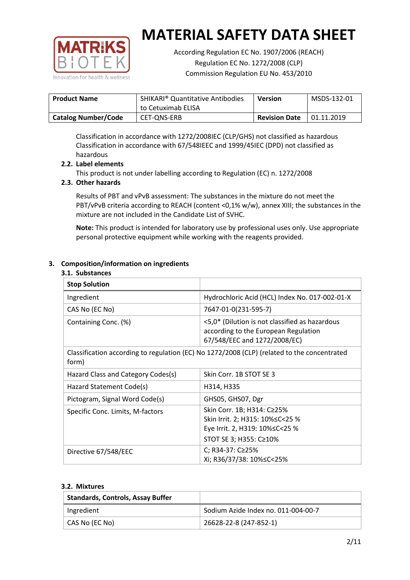

According Regulation EC No. 1907/2006 (REACH) Regulation EC No. 1272/2008 (CLP) Commission Regulation EU No. 453/2010

| <b>Product Name</b>        | <b>SHIKARI<sup>®</sup> Quantitative Antibodies</b><br>to Cetuximab ELISA | <b>Version</b>       | MSDS-132-01 |
|----------------------------|--------------------------------------------------------------------------|----------------------|-------------|
| <b>Catalog Number/Code</b> | CET-ONS-ERB                                                              | <b>Revision Date</b> | 01.11.2019  |

Classification in accordance with 1272/2008IEC (CLP/GHS) not classified as hazardous Classification in accordance with 67/548IEEC and 1999/45IEC (DPD) not classified as hazardous

## **2.2. Label elements**

This product is not under labelling according to Regulation (EC) n. 1272/2008

## **2.3. Other hazards**

Results of PBT and vPvB assessment: The substances in the mixture do not meet the PBT/vPvB criteria according to REACH (content <0,1% w/w), annex XIII; the substances in the mixture are not included in the Candidate List of SVHC.

**Note:** This product is intended for laboratory use by professional uses only. Use appropriate personal protective equipment while working with the reagents provided.

## **3. Composition/information on ingredients**

#### **3.1. Substances**

| <b>Stop Solution</b>               |                                                                                                                               |
|------------------------------------|-------------------------------------------------------------------------------------------------------------------------------|
| Ingredient                         | Hydrochloric Acid (HCL) Index No. 017-002-01-X                                                                                |
| CAS No (EC No)                     | 7647-01-0(231-595-7)                                                                                                          |
| Containing Conc. (%)               | <5,0* (Dilution is not classified as hazardous<br>according to the European Regulation<br>67/548/EEC and 1272/2008/EC)        |
| form)                              | Classification according to regulation (EC) No 1272/2008 (CLP) (related to the concentrated                                   |
| Hazard Class and Category Codes(s) | Skin Corr. 1B STOT SE 3                                                                                                       |
| Hazard Statement Code(s)           | H314, H335                                                                                                                    |
| Pictogram, Signal Word Code(s)     | GHS05, GHS07, Dgr                                                                                                             |
| Specific Conc. Limits, M-factors   | Skin Corr. 1B; H314: C≥25%<br>Skin Irrit. 2; H315: 10% ≤ C < 25 %<br>Eye Irrit. 2, H319: 10%≤C<25 %<br>STOT SE 3; H355: C≥10% |
| Directive 67/548/EEC               | C; R34-37: C≥25%<br>Xi; R36/37/38: 10%≤C<25%                                                                                  |

#### **3.2. Mixtures**

| <b>Standards, Controls, Assay Buffer</b> |                                     |
|------------------------------------------|-------------------------------------|
| Ingredient                               | Sodium Azide Index no. 011-004-00-7 |
| CAS No (EC No)                           | 26628-22-8 (247-852-1)              |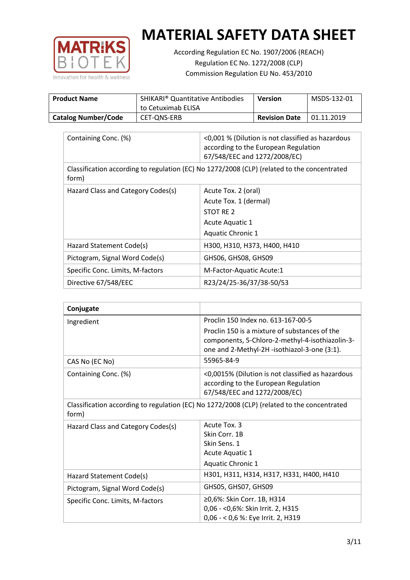

According Regulation EC No. 1907/2006 (REACH) Regulation EC No. 1272/2008 (CLP) Commission Regulation EU No. 453/2010

| <b>Product Name</b>        | <b>SHIKARI® Quantitative Antibodies</b><br>to Cetuximab ELISA | <b>Version</b>       | MSDS-132-01 |
|----------------------------|---------------------------------------------------------------|----------------------|-------------|
| <b>Catalog Number/Code</b> | CET-ONS-ERB                                                   | <b>Revision Date</b> | 01.11.2019  |

| Containing Conc. (%)               | <0,001 % (Dilution is not classified as hazardous<br>according to the European Regulation<br>67/548/EEC and 1272/2008/EC) |
|------------------------------------|---------------------------------------------------------------------------------------------------------------------------|
| form)                              | Classification according to regulation (EC) No 1272/2008 (CLP) (related to the concentrated                               |
| Hazard Class and Category Codes(s) | Acute Tox. 2 (oral)                                                                                                       |
|                                    | Acute Tox. 1 (dermal)                                                                                                     |
|                                    | STOT RE 2                                                                                                                 |
|                                    | Acute Aquatic 1                                                                                                           |
|                                    | Aquatic Chronic 1                                                                                                         |
| Hazard Statement Code(s)           | H300, H310, H373, H400, H410                                                                                              |
| Pictogram, Signal Word Code(s)     | GHS06, GHS08, GHS09                                                                                                       |
| Specific Conc. Limits, M-factors   | M-Factor-Aquatic Acute:1                                                                                                  |
| Directive 67/548/EEC               | R23/24/25-36/37/38-50/53                                                                                                  |

| Conjugate                          |                                                                                                                                                  |
|------------------------------------|--------------------------------------------------------------------------------------------------------------------------------------------------|
| Ingredient                         | Proclin 150 Index no. 613-167-00-5                                                                                                               |
|                                    | Proclin 150 is a mixture of substances of the<br>components, 5-Chloro-2-methyl-4-isothiazolin-3-<br>one and 2-Methyl-2H -isothiazol-3-one (3:1). |
| CAS No (EC No)                     | 55965-84-9                                                                                                                                       |
| Containing Conc. (%)               | <0,0015% (Dilution is not classified as hazardous<br>according to the European Regulation<br>67/548/EEC and 1272/2008/EC)                        |
| form)                              | Classification according to regulation (EC) No 1272/2008 (CLP) (related to the concentrated                                                      |
| Hazard Class and Category Codes(s) | Acute Tox, 3<br>Skin Corr. 1B<br>Skin Sens. 1<br>Acute Aquatic 1<br><b>Aquatic Chronic 1</b>                                                     |
| Hazard Statement Code(s)           | H301, H311, H314, H317, H331, H400, H410                                                                                                         |
| Pictogram, Signal Word Code(s)     | GHS05, GHS07, GHS09                                                                                                                              |
| Specific Conc. Limits, M-factors   | ≥0,6%: Skin Corr. 1B, H314<br>0,06 - < 0,6%: Skin Irrit. 2, H315<br>0,06 - < 0,6 %: Eye Irrit. 2, H319                                           |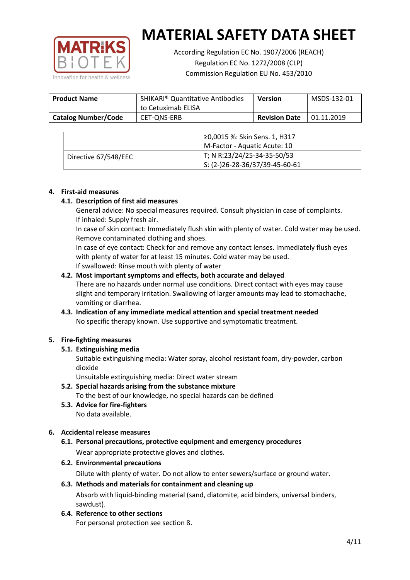

According Regulation EC No. 1907/2006 (REACH) Regulation EC No. 1272/2008 (CLP) Commission Regulation EU No. 453/2010

| <b>Product Name</b>        | <b>SHIKARI</b> <sup>®</sup> Quantitative Antibodies<br>to Cetuximab ELISA | <b>Version</b>       | MSDS-132-01 |
|----------------------------|---------------------------------------------------------------------------|----------------------|-------------|
| <b>Catalog Number/Code</b> | CET-ONS-ERB                                                               | <b>Revision Date</b> | 01.11.2019  |

|                      | ≥0,0015 %: Skin Sens. 1, H317                |
|----------------------|----------------------------------------------|
|                      | M-Factor - Aquatic Acute: 10                 |
| Directive 67/548/EEC | T; N R:23/24/25-34-35-50/53                  |
|                      | $\frac{1}{2}$ S: (2-)26-28-36/37/39-45-60-61 |

## **4. First-aid measures**

## **4.1. Description of first aid measures**

General advice: No special measures required. Consult physician in case of complaints. If inhaled: Supply fresh air.

In case of skin contact: Immediately flush skin with plenty of water. Cold water may be used. Remove contaminated clothing and shoes.

In case of eye contact: Check for and remove any contact lenses. Immediately flush eyes with plenty of water for at least 15 minutes. Cold water may be used. If swallowed: Rinse mouth with plenty of water

## **4.2. Most important symptoms and effects, both accurate and delayed**

There are no hazards under normal use conditions. Direct contact with eyes may cause slight and temporary irritation. Swallowing of larger amounts may lead to stomachache, vomiting or diarrhea.

## **4.3. Indication of any immediate medical attention and special treatment needed** No specific therapy known. Use supportive and symptomatic treatment.

## **5. Fire-fighting measures**

## **5.1. Extinguishing media**

Suitable extinguishing media: Water spray, alcohol resistant foam, dry-powder, carbon dioxide

Unsuitable extinguishing media: Direct water stream

- **5.2. Special hazards arising from the substance mixture** To the best of our knowledge, no special hazards can be defined
- **5.3. Advice for fire-fighters** No data available.

## **6. Accidental release measures**

- **6.1. Personal precautions, protective equipment and emergency procedures** Wear appropriate protective gloves and clothes.
- **6.2. Environmental precautions**

Dilute with plenty of water. Do not allow to enter sewers/surface or ground water.

#### **6.3. Methods and materials for containment and cleaning up**

Absorb with liquid-binding material (sand, diatomite, acid binders, universal binders, sawdust).

**6.4. Reference to other sections**

For personal protection see section 8.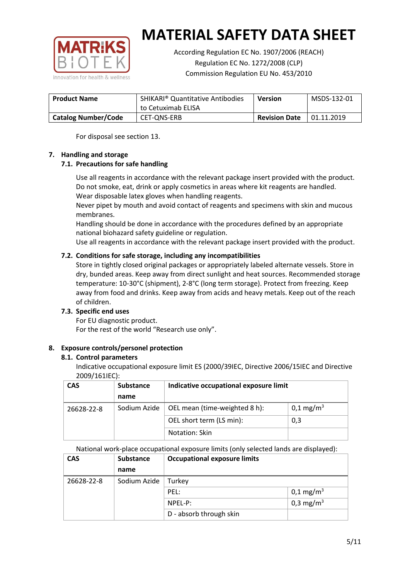

According Regulation EC No. 1907/2006 (REACH) Regulation EC No. 1272/2008 (CLP) Commission Regulation EU No. 453/2010

| <b>Product Name</b>        | <b>SHIKARI</b> <sup>®</sup> Quantitative Antibodies<br>to Cetuximab ELISA | <b>Version</b>       | MSDS-132-01 |
|----------------------------|---------------------------------------------------------------------------|----------------------|-------------|
| <b>Catalog Number/Code</b> | CET-ONS-ERB                                                               | <b>Revision Date</b> | 01.11.2019  |

For disposal see section 13.

## **7. Handling and storage**

## **7.1. Precautions for safe handling**

Use all reagents in accordance with the relevant package insert provided with the product. Do not smoke, eat, drink or apply cosmetics in areas where kit reagents are handled. Wear disposable latex gloves when handling reagents.

Never pipet by mouth and avoid contact of reagents and specimens with skin and mucous membranes.

Handling should be done in accordance with the procedures defined by an appropriate national biohazard safety guideline or regulation.

Use all reagents in accordance with the relevant package insert provided with the product.

## **7.2. Conditions for safe storage, including any incompatibilities**

Store in tightly closed original packages or appropriately labeled alternate vessels. Store in dry, bunded areas. Keep away from direct sunlight and heat sources. Recommended storage temperature: 10-30°C (shipment), 2-8°C (long term storage). Protect from freezing. Keep away from food and drinks. Keep away from acids and heavy metals. Keep out of the reach of children.

## **7.3. Specific end uses**

For EU diagnostic product. For the rest of the world "Research use only".

## **8. Exposure controls/personel protection**

#### **8.1. Control parameters**

Indicative occupational exposure limit ES (2000/39IEC, Directive 2006/15IEC and Directive 2009/161IEC):

| <b>CAS</b> | <b>Substance</b> | Indicative occupational exposure limit |                       |
|------------|------------------|----------------------------------------|-----------------------|
|            | name             |                                        |                       |
| 26628-22-8 | Sodium Azide     | OEL mean (time-weighted 8 h):          | 0,1 mg/m <sup>3</sup> |
|            |                  | OEL short term (LS min):               | 0,3                   |
|            |                  | Notation: Skin                         |                       |

National work-place occupational exposure limits (only selected lands are displayed):

| <b>CAS</b> | <b>Substance</b> | <b>Occupational exposure limits</b> |                         |  |
|------------|------------------|-------------------------------------|-------------------------|--|
|            | name             |                                     |                         |  |
| 26628-22-8 | Sodium Azide     | Turkey                              |                         |  |
|            |                  | PEL:                                | $0,1 \,\mathrm{mg/m^3}$ |  |
|            |                  | $NPEL-P$ :                          | 0,3 mg/m <sup>3</sup>   |  |
|            |                  | D - absorb through skin             |                         |  |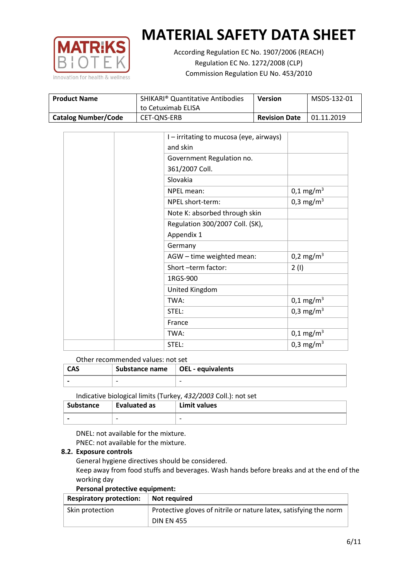

According Regulation EC No. 1907/2006 (REACH) Regulation EC No. 1272/2008 (CLP) Commission Regulation EU No. 453/2010

| <b>Product Name</b>        | <b>SHIKARI</b> <sup>®</sup> Quantitative Antibodies<br>to Cetuximab ELISA | <b>Version</b>       | MSDS-132-01 |
|----------------------------|---------------------------------------------------------------------------|----------------------|-------------|
| <b>Catalog Number/Code</b> | CET-ONS-ERB                                                               | <b>Revision Date</b> | 01.11.2019  |

|  | I – irritating to mucosa (eye, airways) |                         |
|--|-----------------------------------------|-------------------------|
|  | and skin                                |                         |
|  | Government Regulation no.               |                         |
|  | 361/2007 Coll.                          |                         |
|  | Slovakia                                |                         |
|  | NPEL mean:                              | $0,1 \text{ mg/m}^3$    |
|  | NPEL short-term:                        | 0,3 mg/m <sup>3</sup>   |
|  | Note K: absorbed through skin           |                         |
|  | Regulation 300/2007 Coll. (SK),         |                         |
|  | Appendix 1                              |                         |
|  | Germany                                 |                         |
|  | AGW - time weighted mean:               | 0,2 mg/m <sup>3</sup>   |
|  | Short-term factor:                      | 2(1)                    |
|  | 1RGS-900                                |                         |
|  | United Kingdom                          |                         |
|  | TWA:                                    | $0,1 \,\mathrm{mg/m^3}$ |
|  | STEL:                                   | 0,3 mg/m <sup>3</sup>   |
|  | France                                  |                         |
|  | TWA:                                    | $0,1 \text{ mg/m}^3$    |
|  | STEL:                                   | 0,3 mg/m <sup>3</sup>   |

## Other recommended values: not set

| <b>CAS</b> | Substance name $\vert$ OEL - equivalents |   |
|------------|------------------------------------------|---|
|            | $\overline{\phantom{0}}$                 | - |
|            |                                          |   |

Indicative biological limits (Turkey, *432/2003* Coll.): not set

| <b>Substance</b> | Evaluated as             | Limit values             |
|------------------|--------------------------|--------------------------|
|                  | $\overline{\phantom{0}}$ | $\overline{\phantom{0}}$ |

DNEL: not available for the mixture. PNEC: not available for the mixture.

#### **8.2. Exposure controls**

General hygiene directives should be considered.

Keep away from food stuffs and beverages. Wash hands before breaks and at the end of the working day

#### **Personal protective equipment:**

| <b>Respiratory protection:</b> | Not required                                                      |
|--------------------------------|-------------------------------------------------------------------|
| Skin protection                | Protective gloves of nitrile or nature latex, satisfying the norm |
|                                | <b>DIN EN 455</b>                                                 |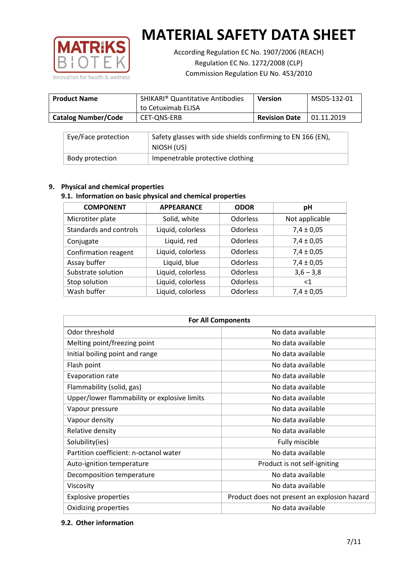

According Regulation EC No. 1907/2006 (REACH) Regulation EC No. 1272/2008 (CLP) Commission Regulation EU No. 453/2010

| <b>Product Name</b>        | <b>SHIKARI</b> <sup>®</sup> Quantitative Antibodies<br>to Cetuximab ELISA | <b>Version</b>       | MSDS-132-01 |
|----------------------------|---------------------------------------------------------------------------|----------------------|-------------|
| <b>Catalog Number/Code</b> | CET-ONS-ERB                                                               | <b>Revision Date</b> | 01.11.2019  |

| Eye/Face protection | Safety glasses with side shields confirming to EN 166 (EN),<br>NIOSH (US) |
|---------------------|---------------------------------------------------------------------------|
| Body protection     | Impenetrable protective clothing                                          |

## **9. Physical and chemical properties**

## **9.1. Information on basic physical and chemical properties**

| <b>COMPONENT</b>       | <b>APPEARANCE</b> | <b>ODOR</b>     | рH             |
|------------------------|-------------------|-----------------|----------------|
| Microtiter plate       | Solid, white      | <b>Odorless</b> | Not applicable |
| Standards and controls | Liquid, colorless | <b>Odorless</b> | $7,4 \pm 0,05$ |
| Conjugate              | Liquid, red       | <b>Odorless</b> | $7,4 \pm 0,05$ |
| Confirmation reagent   | Liquid, colorless | <b>Odorless</b> | $7,4 \pm 0,05$ |
| Assay buffer           | Liquid, blue      | <b>Odorless</b> | $7,4 \pm 0,05$ |
| Substrate solution     | Liquid, colorless | <b>Odorless</b> | $3,6 - 3,8$    |
| Stop solution          | Liquid, colorless | <b>Odorless</b> | $<$ 1          |
| Wash buffer            | Liquid, colorless | Odorless        | $7,4 \pm 0,05$ |

| <b>For All Components</b>                    |                                              |  |  |
|----------------------------------------------|----------------------------------------------|--|--|
| Odor threshold                               | No data available                            |  |  |
| Melting point/freezing point                 | No data available                            |  |  |
| Initial boiling point and range              | No data available                            |  |  |
| Flash point                                  | No data available                            |  |  |
| <b>Evaporation rate</b>                      | No data available                            |  |  |
| Flammability (solid, gas)                    | No data available                            |  |  |
| Upper/lower flammability or explosive limits | No data available                            |  |  |
| Vapour pressure                              | No data available                            |  |  |
| Vapour density                               | No data available                            |  |  |
| Relative density                             | No data available                            |  |  |
| Solubility(ies)                              | Fully miscible                               |  |  |
| Partition coefficient: n-octanol water       | No data available                            |  |  |
| Auto-ignition temperature                    | Product is not self-igniting                 |  |  |
| Decomposition temperature                    | No data available                            |  |  |
| Viscosity                                    | No data available                            |  |  |
| <b>Explosive properties</b>                  | Product does not present an explosion hazard |  |  |
| Oxidizing properties                         | No data available                            |  |  |

#### **9.2. Other information**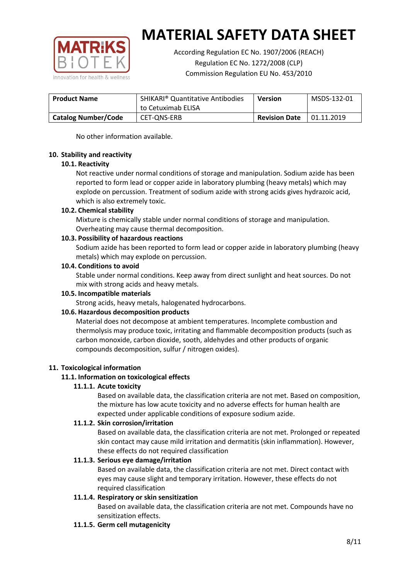

According Regulation EC No. 1907/2006 (REACH) Regulation EC No. 1272/2008 (CLP) Commission Regulation EU No. 453/2010

| <b>Product Name</b>        | <b>SHIKARI</b> <sup>®</sup> Quantitative Antibodies<br>to Cetuximab ELISA | <b>Version</b>       | MSDS-132-01 |
|----------------------------|---------------------------------------------------------------------------|----------------------|-------------|
| <b>Catalog Number/Code</b> | CET-ONS-ERB                                                               | <b>Revision Date</b> | 01.11.2019  |

No other information available.

## **10. Stability and reactivity**

## **10.1. Reactivity**

Not reactive under normal conditions of storage and manipulation. Sodium azide has been reported to form lead or copper azide in laboratory plumbing (heavy metals) which may explode on percussion. Treatment of sodium azide with strong acids gives hydrazoic acid, which is also extremely toxic.

## **10.2. Chemical stability**

Mixture is chemically stable under normal conditions of storage and manipulation. Overheating may cause thermal decomposition.

## **10.3. Possibility of hazardous reactions**

Sodium azide has been reported to form lead or copper azide in laboratory plumbing (heavy metals) which may explode on percussion.

## **10.4. Conditions to avoid**

Stable under normal conditions. Keep away from direct sunlight and heat sources. Do not mix with strong acids and heavy metals.

#### **10.5. Incompatible materials**

Strong acids, heavy metals, halogenated hydrocarbons.

## **10.6. Hazardous decomposition products**

Material does not decompose at ambient temperatures. Incomplete combustion and thermolysis may produce toxic, irritating and flammable decomposition products (such as carbon monoxide, carbon dioxide, sooth, aldehydes and other products of organic compounds decomposition, sulfur / nitrogen oxides).

## **11. Toxicological information**

## **11.1. Information on toxicological effects**

#### **11.1.1. Acute toxicity**

Based on available data, the classification criteria are not met. Based on composition, the mixture has low acute toxicity and no adverse effects for human health are expected under applicable conditions of exposure sodium azide.

#### **11.1.2. Skin corrosion/irritation**

Based on available data, the classification criteria are not met. Prolonged or repeated skin contact may cause mild irritation and dermatitis (skin inflammation). However, these effects do not required classification

## **11.1.3. Serious eye damage/irritation**

Based on available data, the classification criteria are not met. Direct contact with eyes may cause slight and temporary irritation. However, these effects do not required classification

## **11.1.4. Respiratory or skin sensitization**

Based on available data, the classification criteria are not met. Compounds have no sensitization effects.

#### **11.1.5. Germ cell mutagenicity**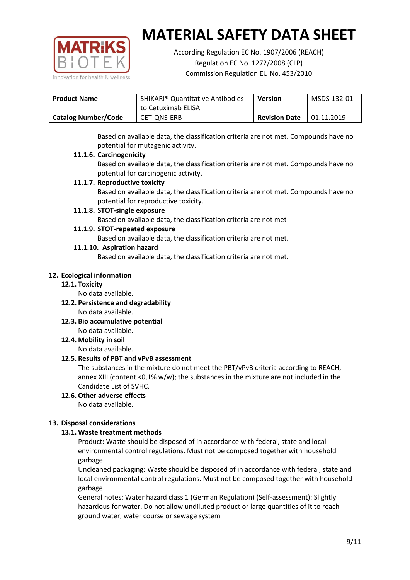

According Regulation EC No. 1907/2006 (REACH) Regulation EC No. 1272/2008 (CLP) Commission Regulation EU No. 453/2010

| <b>Product Name</b>        | <b>SHIKARI</b> <sup>®</sup> Quantitative Antibodies<br>to Cetuximab ELISA | <b>Version</b>       | MSDS-132-01 |
|----------------------------|---------------------------------------------------------------------------|----------------------|-------------|
|                            |                                                                           |                      |             |
| <b>Catalog Number/Code</b> | CET-ONS-ERB                                                               | <b>Revision Date</b> | 01.11.2019  |

Based on available data, the classification criteria are not met. Compounds have no potential for mutagenic activity.

## **11.1.6. Carcinogenicity**

Based on available data, the classification criteria are not met. Compounds have no potential for carcinogenic activity.

## **11.1.7. Reproductive toxicity**

Based on available data, the classification criteria are not met. Compounds have no potential for reproductive toxicity.

## **11.1.8. STOT-single exposure**

Based on available data, the classification criteria are not met

## **11.1.9. STOT-repeated exposure**

Based on available data, the classification criteria are not met.

## **11.1.10. Aspiration hazard**

Based on available data, the classification criteria are not met.

## **12. Ecological information**

#### **12.1. Toxicity**

No data available.

- **12.2. Persistence and degradability** No data available.
- **12.3. Bio accumulative potential** No data available.

**12.4. Mobility in soil**

No data available.

## **12.5. Results of PBT and vPvB assessment**

The substances in the mixture do not meet the PBT/vPvB criteria according to REACH, annex XIII (content <0,1% w/w); the substances in the mixture are not included in the Candidate List of SVHC.

#### **12.6. Other adverse effects** No data available.

## **13. Disposal considerations**

## **13.1. Waste treatment methods**

Product: Waste should be disposed of in accordance with federal, state and local environmental control regulations. Must not be composed together with household garbage.

Uncleaned packaging: Waste should be disposed of in accordance with federal, state and local environmental control regulations. Must not be composed together with household garbage.

General notes: Water hazard class 1 (German Regulation) (Self-assessment): Slightly hazardous for water. Do not allow undiluted product or large quantities of it to reach ground water, water course or sewage system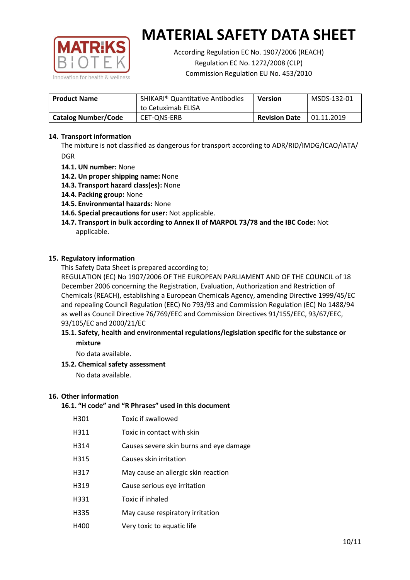

According Regulation EC No. 1907/2006 (REACH) Regulation EC No. 1272/2008 (CLP) Commission Regulation EU No. 453/2010

| <b>Product Name</b>        | <b>SHIKARI<sup>®</sup> Quantitative Antibodies</b><br>to Cetuximab ELISA | <b>Version</b>       | MSDS-132-01 |
|----------------------------|--------------------------------------------------------------------------|----------------------|-------------|
| <b>Catalog Number/Code</b> | CET-ONS-ERB                                                              | <b>Revision Date</b> | 01.11.2019  |

## **14. Transport information**

The mixture is not classified as dangerous for transport according to ADR/RID/IMDG/ICAO/IATA/ DGR

- **14.1. UN number:** None
- **14.2. Un proper shipping name:** None
- **14.3. Transport hazard class(es):** None
- **14.4. Packing group:** None
- **14.5. Environmental hazards:** None
- **14.6. Special precautions for user:** Not applicable.
- **14.7. Transport in bulk according to Annex II of MARPOL 73/78 and the IBC Code:** Not applicable.

#### **15. Regulatory information**

This Safety Data Sheet is prepared according to;

REGULATION (EC) No 1907/2006 OF THE EUROPEAN PARLIAMENT AND OF THE COUNCIL of 18 December 2006 concerning the Registration, Evaluation, Authorization and Restriction of Chemicals (REACH), establishing a European Chemicals Agency, amending Directive 1999/45/EC and repealing Council Regulation (EEC) No 793/93 and Commission Regulation (EC) No 1488/94 as well as Council Directive 76/769/EEC and Commission Directives 91/155/EEC, 93/67/EEC, 93/105/EC and 2000/21/EC

## **15.1. Safety, health and environmental regulations/legislation specific for the substance or mixture**

No data available.

## **15.2. Chemical safety assessment**

No data available.

#### **16. Other information**

## **16.1. "H code" and "R Phrases" used in this document**

| H301 | Toxic if swallowed |
|------|--------------------|
|------|--------------------|

- H311 Toxic in contact with skin
- H314 Causes severe skin burns and eye damage
- H315 Causes skin irritation
- H317 May cause an allergic skin reaction
- H319 Cause serious eye irritation
- H331 Toxic if inhaled
- H335 May cause respiratory irritation
- H400 Very toxic to aquatic life